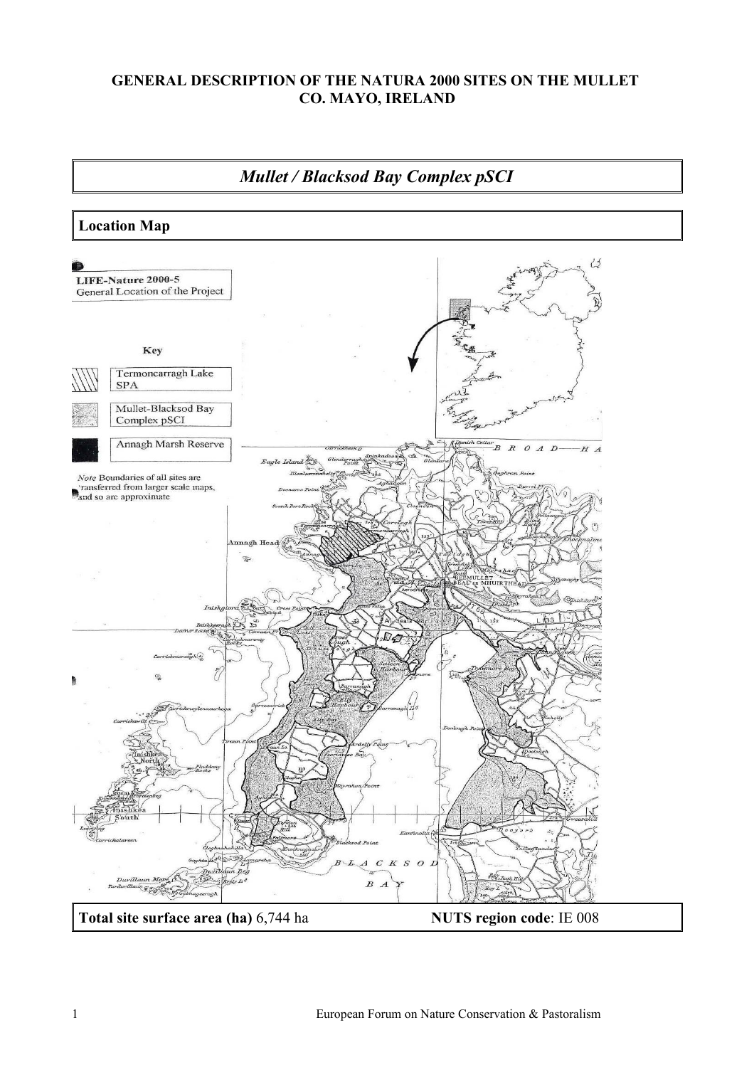## **GENERAL DESCRIPTION OF THE NATURA 2000 SITES ON THE MULLET CO. MAYO, IRELAND**

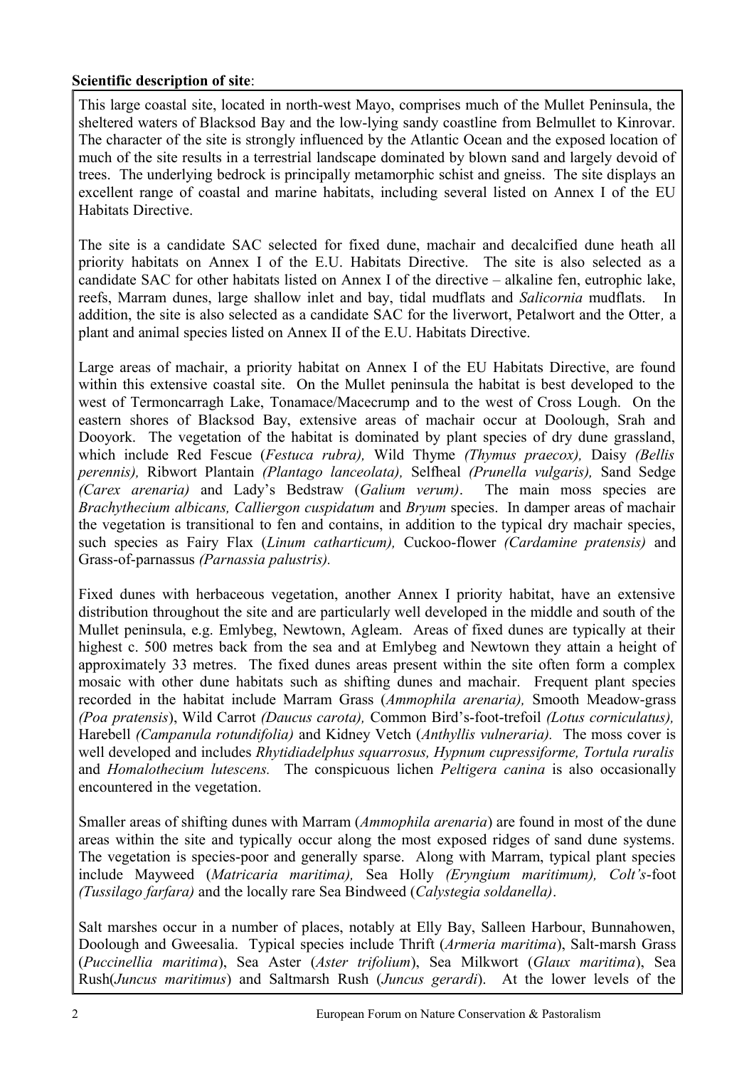## **Scientific description of site**:

This large coastal site, located in north-west Mayo, comprises much of the Mullet Peninsula, the sheltered waters of Blacksod Bay and the low-lying sandy coastline from Belmullet to Kinrovar. The character of the site is strongly influenced by the Atlantic Ocean and the exposed location of much of the site results in a terrestrial landscape dominated by blown sand and largely devoid of trees. The underlying bedrock is principally metamorphic schist and gneiss. The site displays an excellent range of coastal and marine habitats, including several listed on Annex I of the EU Habitats Directive.

The site is a candidate SAC selected for fixed dune, machair and decalcified dune heath all priority habitats on Annex I of the E.U. Habitats Directive. The site is also selected as a candidate SAC for other habitats listed on Annex I of the directive – alkaline fen, eutrophic lake, reefs, Marram dunes, large shallow inlet and bay, tidal mudflats and *Salicornia* mudflats. In addition, the site is also selected as a candidate SAC for the liverwort, Petalwort and the Otter*,* a plant and animal species listed on Annex II of the E.U. Habitats Directive.

Large areas of machair, a priority habitat on Annex I of the EU Habitats Directive, are found within this extensive coastal site. On the Mullet peninsula the habitat is best developed to the west of Termoncarragh Lake, Tonamace/Macecrump and to the west of Cross Lough. On the eastern shores of Blacksod Bay, extensive areas of machair occur at Doolough, Srah and Dooyork. The vegetation of the habitat is dominated by plant species of dry dune grassland, which include Red Fescue (*Festuca rubra),* Wild Thyme *(Thymus praecox),* Daisy *(Bellis perennis),* Ribwort Plantain *(Plantago lanceolata),* Selfheal *(Prunella vulgaris),* Sand Sedge *(Carex arenaria)* and Lady's Bedstraw (*Galium verum)*. The main moss species are *Brachythecium albicans, Calliergon cuspidatum* and *Bryum* species. In damper areas of machair the vegetation is transitional to fen and contains, in addition to the typical dry machair species, such species as Fairy Flax (*Linum catharticum),* Cuckoo-flower *(Cardamine pratensis)* and Grass-of-parnassus *(Parnassia palustris).*

Fixed dunes with herbaceous vegetation, another Annex I priority habitat, have an extensive distribution throughout the site and are particularly well developed in the middle and south of the Mullet peninsula, e.g. Emlybeg, Newtown, Agleam. Areas of fixed dunes are typically at their highest c. 500 metres back from the sea and at Emlybeg and Newtown they attain a height of approximately 33 metres. The fixed dunes areas present within the site often form a complex mosaic with other dune habitats such as shifting dunes and machair. Frequent plant species recorded in the habitat include Marram Grass (*Ammophila arenaria),* Smooth Meadow-grass *(Poa pratensis*), Wild Carrot *(Daucus carota),* Common Bird's-foot-trefoil *(Lotus corniculatus),* Harebell *(Campanula rotundifolia)* and Kidney Vetch (*Anthyllis vulneraria).* The moss cover is well developed and includes *Rhytidiadelphus squarrosus, Hypnum cupressiforme, Tortula ruralis* and *Homalothecium lutescens.* The conspicuous lichen *Peltigera canina* is also occasionally encountered in the vegetation.

Smaller areas of shifting dunes with Marram (*Ammophila arenaria*) are found in most of the dune areas within the site and typically occur along the most exposed ridges of sand dune systems. The vegetation is species-poor and generally sparse. Along with Marram, typical plant species include Mayweed (*Matricaria maritima),* Sea Holly *(Eryngium maritimum), Colt's*-foot *(Tussilago farfara)* and the locally rare Sea Bindweed (*Calystegia soldanella)*.

Salt marshes occur in a number of places, notably at Elly Bay, Salleen Harbour, Bunnahowen, Doolough and Gweesalia. Typical species include Thrift (*Armeria maritima*), Salt-marsh Grass (*Puccinellia maritima*), Sea Aster (*Aster trifolium*), Sea Milkwort (*Glaux maritima*), Sea Rush(*Juncus maritimus*) and Saltmarsh Rush (*Juncus gerardi*). At the lower levels of the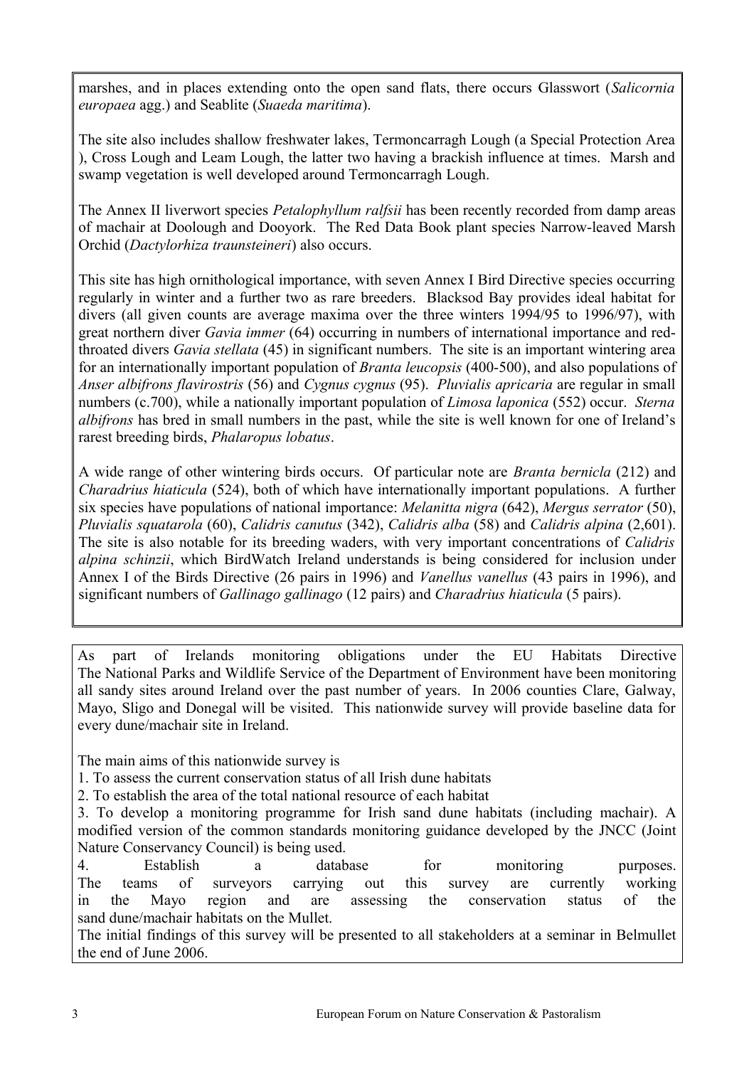marshes, and in places extending onto the open sand flats, there occurs Glasswort (*Salicornia europaea* agg.) and Seablite (*Suaeda maritima*).

The site also includes shallow freshwater lakes, Termoncarragh Lough (a Special Protection Area ), Cross Lough and Leam Lough, the latter two having a brackish influence at times. Marsh and swamp vegetation is well developed around Termoncarragh Lough.

The Annex II liverwort species *Petalophyllum ralfsii* has been recently recorded from damp areas of machair at Doolough and Dooyork. The Red Data Book plant species Narrow-leaved Marsh Orchid (*Dactylorhiza traunsteineri*) also occurs.

This site has high ornithological importance, with seven Annex I Bird Directive species occurring regularly in winter and a further two as rare breeders. Blacksod Bay provides ideal habitat for divers (all given counts are average maxima over the three winters 1994/95 to 1996/97), with great northern diver *Gavia immer* (64) occurring in numbers of international importance and redthroated divers *Gavia stellata* (45) in significant numbers. The site is an important wintering area for an internationally important population of *Branta leucopsis* (400-500), and also populations of *Anser albifrons flavirostris* (56) and *Cygnus cygnus* (95). *Pluvialis apricaria* are regular in small numbers (c.700), while a nationally important population of *Limosa laponica* (552) occur. *Sterna albifrons* has bred in small numbers in the past, while the site is well known for one of Ireland's rarest breeding birds, *Phalaropus lobatus*.

A wide range of other wintering birds occurs. Of particular note are *Branta bernicla* (212) and *Charadrius hiaticula* (524), both of which have internationally important populations. A further six species have populations of national importance: *Melanitta nigra* (642), *Mergus serrator* (50), *Pluvialis squatarola* (60), *Calidris canutus* (342), *Calidris alba* (58) and *Calidris alpina* (2,601). The site is also notable for its breeding waders, with very important concentrations of *Calidris alpina schinzii*, which BirdWatch Ireland understands is being considered for inclusion under Annex I of the Birds Directive (26 pairs in 1996) and *Vanellus vanellus* (43 pairs in 1996), and significant numbers of *Gallinago gallinago* (12 pairs) and *Charadrius hiaticula* (5 pairs).

As part of Irelands monitoring obligations under the EU Habitats Directive The National Parks and Wildlife Service of the Department of Environment have been monitoring all sandy sites around Ireland over the past number of years. In 2006 counties Clare, Galway, Mayo, Sligo and Donegal will be visited. This nationwide survey will provide baseline data for every dune/machair site in Ireland.

The main aims of this nationwide survey is

1. To assess the current conservation status of all Irish dune habitats

2. To establish the area of the total national resource of each habitat

3. To develop a monitoring programme for Irish sand dune habitats (including machair). A modified version of the common standards monitoring guidance developed by the JNCC (Joint Nature Conservancy Council) is being used.

4. Establish a database for monitoring purposes. The teams of surveyors carrying out this survey are currently working in the Mayo region and are assessing the conservation status of the sand dune/machair habitats on the Mullet.

The initial findings of this survey will be presented to all stakeholders at a seminar in Belmullet the end of June 2006.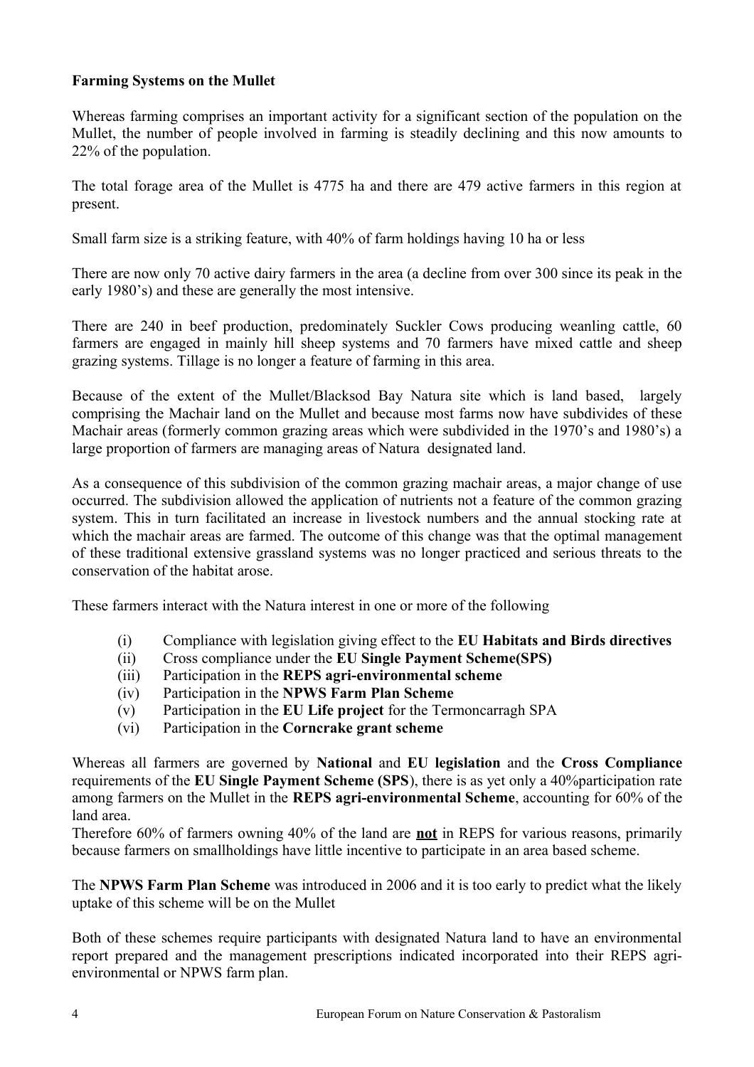## **Farming Systems on the Mullet**

Whereas farming comprises an important activity for a significant section of the population on the Mullet, the number of people involved in farming is steadily declining and this now amounts to 22% of the population.

The total forage area of the Mullet is 4775 ha and there are 479 active farmers in this region at present.

Small farm size is a striking feature, with 40% of farm holdings having 10 ha or less

There are now only 70 active dairy farmers in the area (a decline from over 300 since its peak in the early 1980's) and these are generally the most intensive.

There are 240 in beef production, predominately Suckler Cows producing weanling cattle, 60 farmers are engaged in mainly hill sheep systems and 70 farmers have mixed cattle and sheep grazing systems. Tillage is no longer a feature of farming in this area.

Because of the extent of the Mullet/Blacksod Bay Natura site which is land based, largely comprising the Machair land on the Mullet and because most farms now have subdivides of these Machair areas (formerly common grazing areas which were subdivided in the 1970's and 1980's) a large proportion of farmers are managing areas of Natura designated land.

As a consequence of this subdivision of the common grazing machair areas, a major change of use occurred. The subdivision allowed the application of nutrients not a feature of the common grazing system. This in turn facilitated an increase in livestock numbers and the annual stocking rate at which the machair areas are farmed. The outcome of this change was that the optimal management of these traditional extensive grassland systems was no longer practiced and serious threats to the conservation of the habitat arose.

These farmers interact with the Natura interest in one or more of the following

- (i) Compliance with legislation giving effect to the **EU Habitats and Birds directives**
- (ii) Cross compliance under the **EU Single Payment Scheme(SPS)**
- (iii) Participation in the **REPS agri-environmental scheme**
- (iv) Participation in the **NPWS Farm Plan Scheme**
- (v) Participation in the **EU Life project** for the Termoncarragh SPA
- (vi) Participation in the **Corncrake grant scheme**

Whereas all farmers are governed by **National** and **EU legislation** and the **Cross Compliance** requirements of the **EU Single Payment Scheme (SPS**), there is as yet only a 40%participation rate among farmers on the Mullet in the **REPS agri-environmental Scheme**, accounting for 60% of the land area.

Therefore 60% of farmers owning 40% of the land are **not** in REPS for various reasons, primarily because farmers on smallholdings have little incentive to participate in an area based scheme.

The **NPWS Farm Plan Scheme** was introduced in 2006 and it is too early to predict what the likely uptake of this scheme will be on the Mullet

Both of these schemes require participants with designated Natura land to have an environmental report prepared and the management prescriptions indicated incorporated into their REPS agrienvironmental or NPWS farm plan.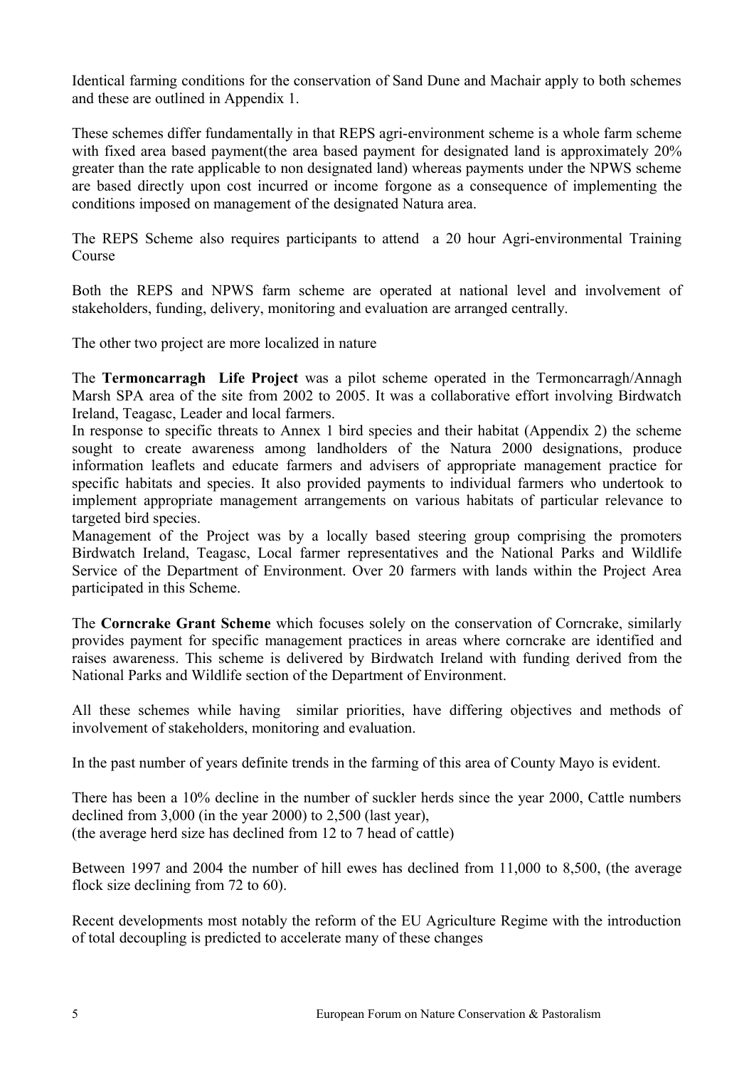Identical farming conditions for the conservation of Sand Dune and Machair apply to both schemes and these are outlined in Appendix 1.

These schemes differ fundamentally in that REPS agri-environment scheme is a whole farm scheme with fixed area based payment(the area based payment for designated land is approximately 20% greater than the rate applicable to non designated land) whereas payments under the NPWS scheme are based directly upon cost incurred or income forgone as a consequence of implementing the conditions imposed on management of the designated Natura area.

The REPS Scheme also requires participants to attend a 20 hour Agri-environmental Training Course

Both the REPS and NPWS farm scheme are operated at national level and involvement of stakeholders, funding, delivery, monitoring and evaluation are arranged centrally.

The other two project are more localized in nature

The **Termoncarragh Life Project** was a pilot scheme operated in the Termoncarragh/Annagh Marsh SPA area of the site from 2002 to 2005. It was a collaborative effort involving Birdwatch Ireland, Teagasc, Leader and local farmers.

In response to specific threats to Annex 1 bird species and their habitat (Appendix 2) the scheme sought to create awareness among landholders of the Natura 2000 designations, produce information leaflets and educate farmers and advisers of appropriate management practice for specific habitats and species. It also provided payments to individual farmers who undertook to implement appropriate management arrangements on various habitats of particular relevance to targeted bird species.

Management of the Project was by a locally based steering group comprising the promoters Birdwatch Ireland, Teagasc, Local farmer representatives and the National Parks and Wildlife Service of the Department of Environment. Over 20 farmers with lands within the Project Area participated in this Scheme.

The **Corncrake Grant Scheme** which focuses solely on the conservation of Corncrake, similarly provides payment for specific management practices in areas where corncrake are identified and raises awareness. This scheme is delivered by Birdwatch Ireland with funding derived from the National Parks and Wildlife section of the Department of Environment.

All these schemes while having similar priorities, have differing objectives and methods of involvement of stakeholders, monitoring and evaluation.

In the past number of years definite trends in the farming of this area of County Mayo is evident.

There has been a 10% decline in the number of suckler herds since the year 2000, Cattle numbers declined from 3,000 (in the year 2000) to 2,500 (last year), (the average herd size has declined from 12 to 7 head of cattle)

Between 1997 and 2004 the number of hill ewes has declined from 11,000 to 8,500, (the average flock size declining from 72 to 60).

Recent developments most notably the reform of the EU Agriculture Regime with the introduction of total decoupling is predicted to accelerate many of these changes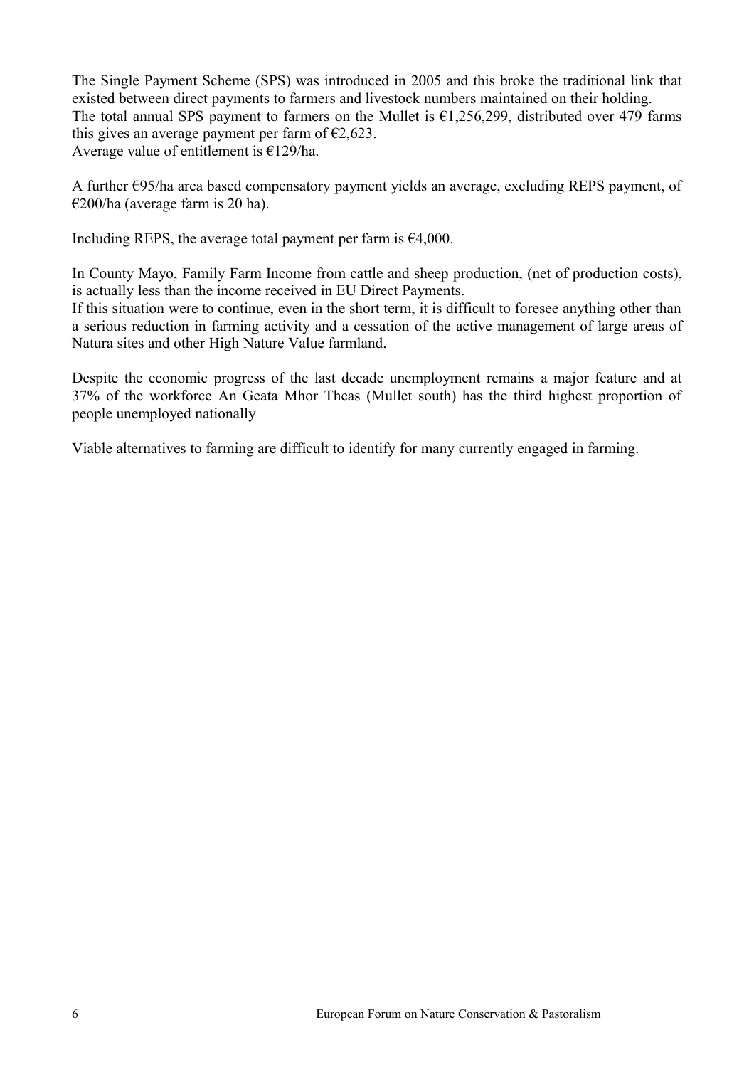The Single Payment Scheme (SPS) was introduced in 2005 and this broke the traditional link that existed between direct payments to farmers and livestock numbers maintained on their holding. The total annual SPS payment to farmers on the Mullet is  $\epsilon$ 1,256,299, distributed over 479 farms this gives an average payment per farm of  $\epsilon$ 2,623. Average value of entitlement is  $£129/ha$ .

A further €95/ha area based compensatory payment yields an average, excluding REPS payment, of €200/ha (average farm is 20 ha).

Including REPS, the average total payment per farm is  $\epsilon$ 4,000.

In County Mayo, Family Farm Income from cattle and sheep production, (net of production costs), is actually less than the income received in EU Direct Payments.

If this situation were to continue, even in the short term, it is difficult to foresee anything other than a serious reduction in farming activity and a cessation of the active management of large areas of Natura sites and other High Nature Value farmland.

Despite the economic progress of the last decade unemployment remains a major feature and at 37% of the workforce An Geata Mhor Theas (Mullet south) has the third highest proportion of people unemployed nationally

Viable alternatives to farming are difficult to identify for many currently engaged in farming.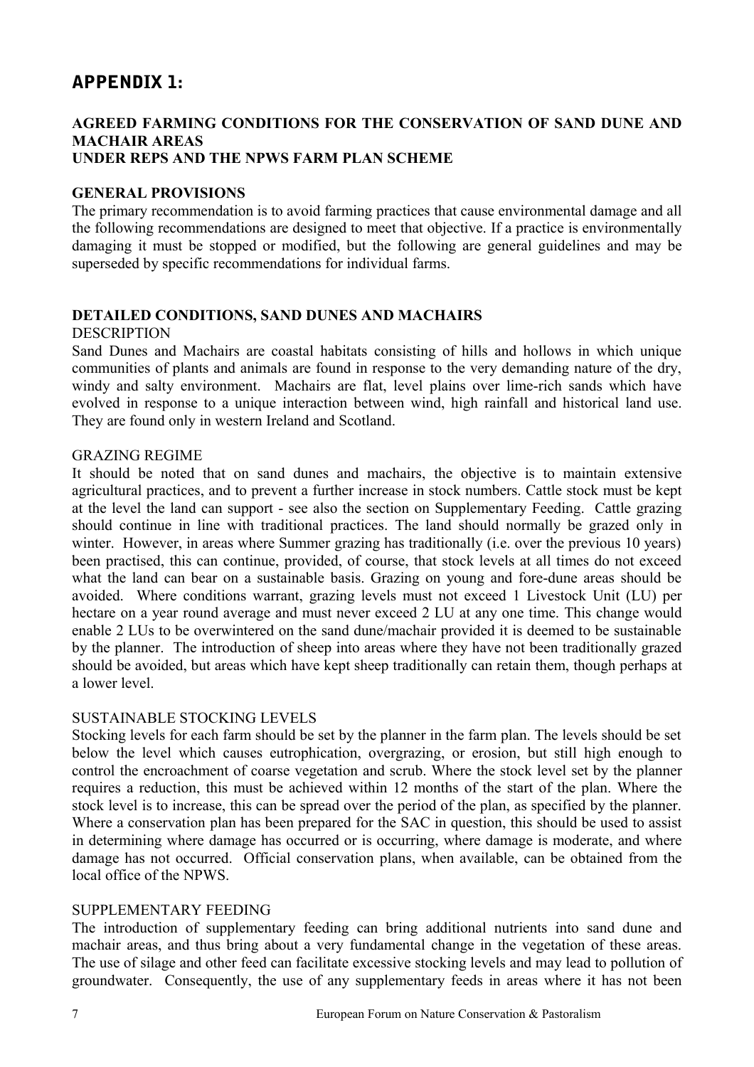# APPENDIX 1:

## **AGREED FARMING CONDITIONS FOR THE CONSERVATION OF SAND DUNE AND MACHAIR AREAS UNDER REPS AND THE NPWS FARM PLAN SCHEME**

## **GENERAL PROVISIONS**

The primary recommendation is to avoid farming practices that cause environmental damage and all the following recommendations are designed to meet that objective. If a practice is environmentally damaging it must be stopped or modified, but the following are general guidelines and may be superseded by specific recommendations for individual farms.

## **DETAILED CONDITIONS, SAND DUNES AND MACHAIRS**

### DESCRIPTION

Sand Dunes and Machairs are coastal habitats consisting of hills and hollows in which unique communities of plants and animals are found in response to the very demanding nature of the dry, windy and salty environment. Machairs are flat, level plains over lime-rich sands which have evolved in response to a unique interaction between wind, high rainfall and historical land use. They are found only in western Ireland and Scotland.

## GRAZING REGIME

It should be noted that on sand dunes and machairs, the objective is to maintain extensive agricultural practices, and to prevent a further increase in stock numbers. Cattle stock must be kept at the level the land can support - see also the section on Supplementary Feeding. Cattle grazing should continue in line with traditional practices. The land should normally be grazed only in winter. However, in areas where Summer grazing has traditionally (i.e. over the previous 10 years) been practised, this can continue, provided, of course, that stock levels at all times do not exceed what the land can bear on a sustainable basis. Grazing on young and fore-dune areas should be avoided. Where conditions warrant, grazing levels must not exceed 1 Livestock Unit (LU) per hectare on a year round average and must never exceed 2 LU at any one time. This change would enable 2 LUs to be overwintered on the sand dune/machair provided it is deemed to be sustainable by the planner. The introduction of sheep into areas where they have not been traditionally grazed should be avoided, but areas which have kept sheep traditionally can retain them, though perhaps at a lower level.

## SUSTAINABLE STOCKING LEVELS

Stocking levels for each farm should be set by the planner in the farm plan. The levels should be set below the level which causes eutrophication, overgrazing, or erosion, but still high enough to control the encroachment of coarse vegetation and scrub. Where the stock level set by the planner requires a reduction, this must be achieved within 12 months of the start of the plan. Where the stock level is to increase, this can be spread over the period of the plan, as specified by the planner. Where a conservation plan has been prepared for the SAC in question, this should be used to assist in determining where damage has occurred or is occurring, where damage is moderate, and where damage has not occurred. Official conservation plans, when available, can be obtained from the local office of the NPWS.

## SUPPLEMENTARY FEEDING

The introduction of supplementary feeding can bring additional nutrients into sand dune and machair areas, and thus bring about a very fundamental change in the vegetation of these areas. The use of silage and other feed can facilitate excessive stocking levels and may lead to pollution of groundwater. Consequently, the use of any supplementary feeds in areas where it has not been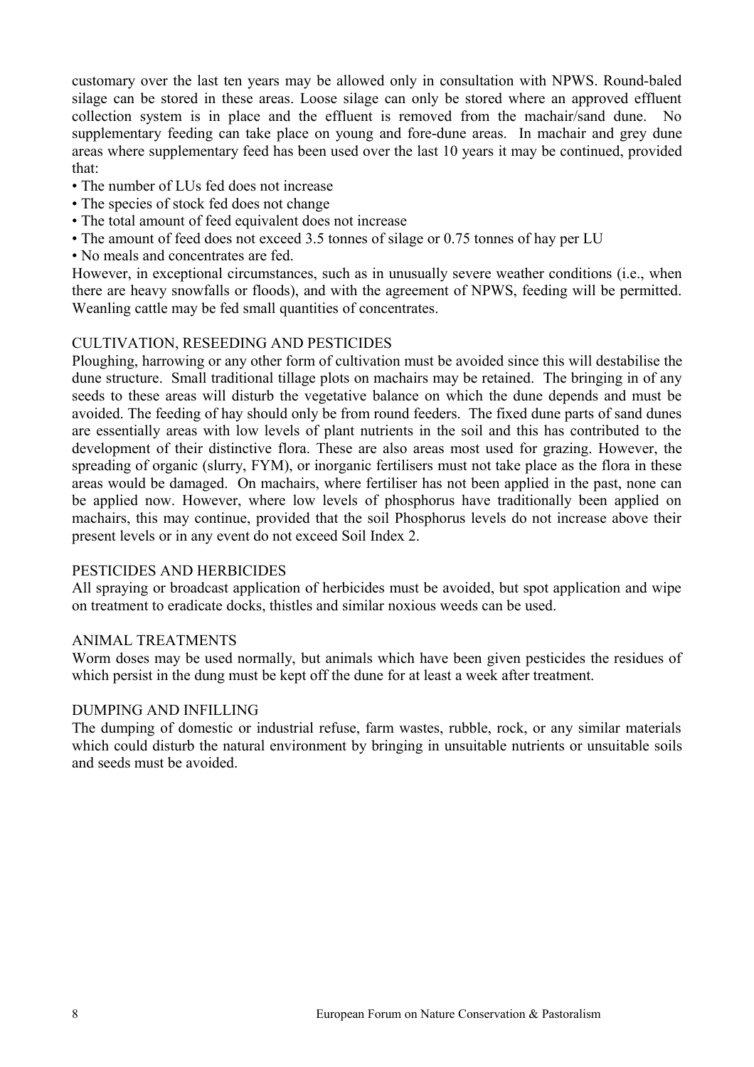customary over the last ten years may be allowed only in consultation with NPWS. Round-baled silage can be stored in these areas. Loose silage can only be stored where an approved effluent collection system is in place and the effluent is removed from the machair/sand dune. No supplementary feeding can take place on young and fore-dune areas. In machair and grey dune areas where supplementary feed has been used over the last 10 years it may be continued, provided that:

- The number of LUs fed does not increase
- The species of stock fed does not change
- The total amount of feed equivalent does not increase
- The amount of feed does not exceed 3.5 tonnes of silage or 0.75 tonnes of hay per LU
- No meals and concentrates are fed.

However, in exceptional circumstances, such as in unusually severe weather conditions (i.e., when there are heavy snowfalls or floods), and with the agreement of NPWS, feeding will be permitted. Weanling cattle may be fed small quantities of concentrates.

## CULTIVATION, RESEEDING AND PESTICIDES

Ploughing, harrowing or any other form of cultivation must be avoided since this will destabilise the dune structure. Small traditional tillage plots on machairs may be retained. The bringing in of any seeds to these areas will disturb the vegetative balance on which the dune depends and must be avoided. The feeding of hay should only be from round feeders. The fixed dune parts of sand dunes are essentially areas with low levels of plant nutrients in the soil and this has contributed to the development of their distinctive flora. These are also areas most used for grazing. However, the spreading of organic (slurry, FYM), or inorganic fertilisers must not take place as the flora in these areas would be damaged. On machairs, where fertiliser has not been applied in the past, none can be applied now. However, where low levels of phosphorus have traditionally been applied on machairs, this may continue, provided that the soil Phosphorus levels do not increase above their present levels or in any event do not exceed Soil Index 2.

### PESTICIDES AND HERBICIDES

All spraying or broadcast application of herbicides must be avoided, but spot application and wipe on treatment to eradicate docks, thistles and similar noxious weeds can be used.

### ANIMAL TREATMENTS

Worm doses may be used normally, but animals which have been given pesticides the residues of which persist in the dung must be kept off the dune for at least a week after treatment.

### DUMPING AND INFILLING

The dumping of domestic or industrial refuse, farm wastes, rubble, rock, or any similar materials which could disturb the natural environment by bringing in unsuitable nutrients or unsuitable soils and seeds must be avoided.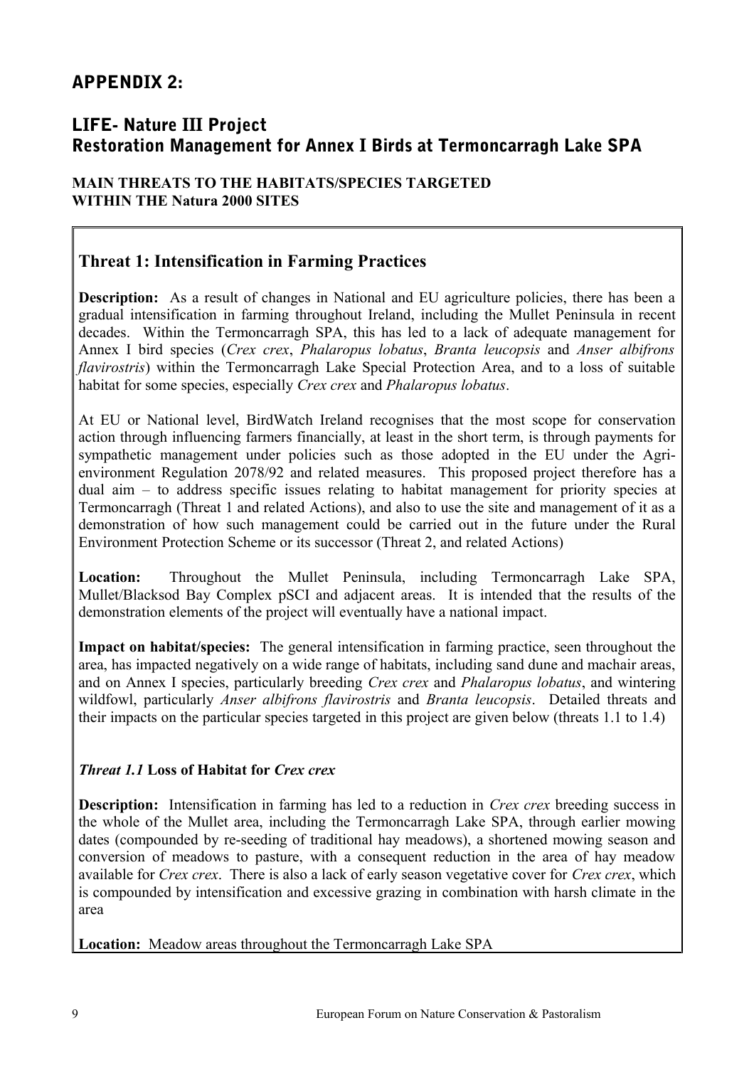# APPENDIX 2:

# LIFE- Nature III Project Restoration Management for Annex I Birds at Termoncarragh Lake SPA

## **MAIN THREATS TO THE HABITATS/SPECIES TARGETED WITHIN THE Natura 2000 SITES**

## **Threat 1: Intensification in Farming Practices**

**Description:** As a result of changes in National and EU agriculture policies, there has been a gradual intensification in farming throughout Ireland, including the Mullet Peninsula in recent decades. Within the Termoncarragh SPA, this has led to a lack of adequate management for Annex I bird species (*Crex crex*, *Phalaropus lobatus*, *Branta leucopsis* and *Anser albifrons flavirostris*) within the Termoncarragh Lake Special Protection Area, and to a loss of suitable habitat for some species, especially *Crex crex* and *Phalaropus lobatus*.

At EU or National level, BirdWatch Ireland recognises that the most scope for conservation action through influencing farmers financially, at least in the short term, is through payments for sympathetic management under policies such as those adopted in the EU under the Agrienvironment Regulation 2078/92 and related measures. This proposed project therefore has a dual aim – to address specific issues relating to habitat management for priority species at Termoncarragh (Threat 1 and related Actions), and also to use the site and management of it as a demonstration of how such management could be carried out in the future under the Rural Environment Protection Scheme or its successor (Threat 2, and related Actions)

**Location:** Throughout the Mullet Peninsula, including Termoncarragh Lake SPA, Mullet/Blacksod Bay Complex pSCI and adjacent areas. It is intended that the results of the demonstration elements of the project will eventually have a national impact.

**Impact on habitat/species:** The general intensification in farming practice, seen throughout the area, has impacted negatively on a wide range of habitats, including sand dune and machair areas, and on Annex I species, particularly breeding *Crex crex* and *Phalaropus lobatus*, and wintering wildfowl, particularly *Anser albifrons flavirostris* and *Branta leucopsis*. Detailed threats and their impacts on the particular species targeted in this project are given below (threats 1.1 to 1.4)

## *Threat 1.1* **Loss of Habitat for** *Crex crex*

**Description:** Intensification in farming has led to a reduction in *Crex crex* breeding success in the whole of the Mullet area, including the Termoncarragh Lake SPA, through earlier mowing dates (compounded by re-seeding of traditional hay meadows), a shortened mowing season and conversion of meadows to pasture, with a consequent reduction in the area of hay meadow available for *Crex crex*. There is also a lack of early season vegetative cover for *Crex crex*, which is compounded by intensification and excessive grazing in combination with harsh climate in the area

**Location:** Meadow areas throughout the Termoncarragh Lake SPA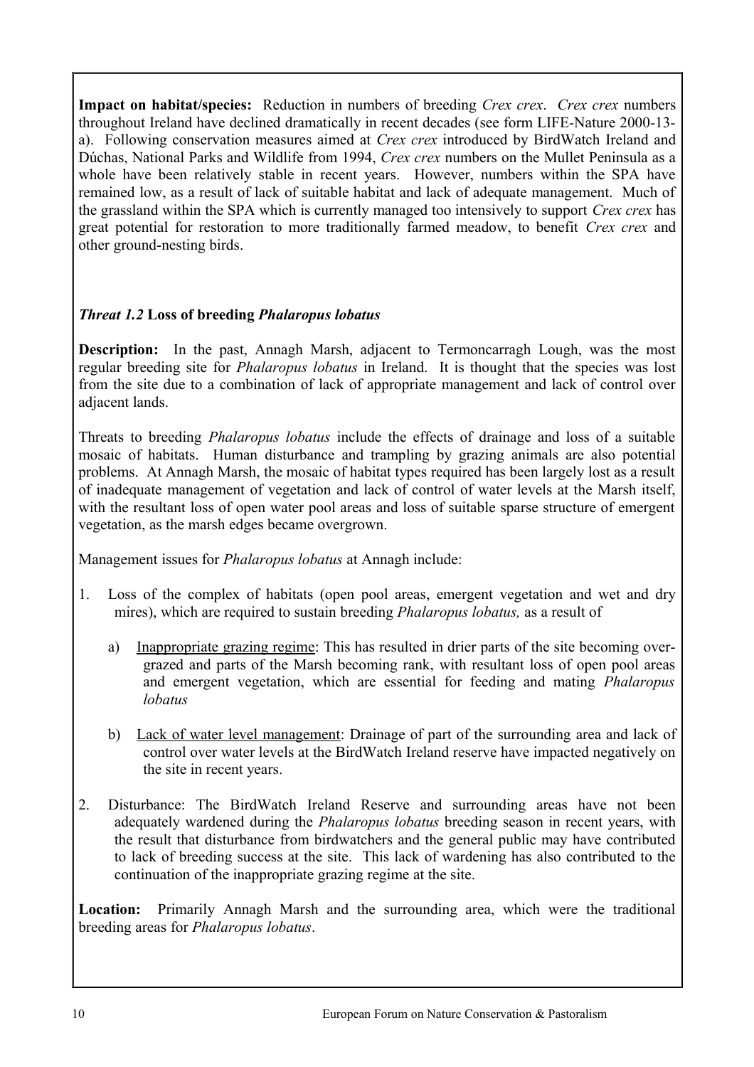**Impact on habitat/species:** Reduction in numbers of breeding *Crex crex*. *Crex crex* numbers throughout Ireland have declined dramatically in recent decades (see form LIFE-Nature 2000-13 a). Following conservation measures aimed at *Crex crex* introduced by BirdWatch Ireland and Dúchas, National Parks and Wildlife from 1994, *Crex crex* numbers on the Mullet Peninsula as a whole have been relatively stable in recent years. However, numbers within the SPA have remained low, as a result of lack of suitable habitat and lack of adequate management. Much of the grassland within the SPA which is currently managed too intensively to support *Crex crex* has great potential for restoration to more traditionally farmed meadow, to benefit *Crex crex* and other ground-nesting birds.

## *Threat 1.2* **Loss of breeding** *Phalaropus lobatus*

**Description:** In the past, Annagh Marsh, adjacent to Termoncarragh Lough, was the most regular breeding site for *Phalaropus lobatus* in Ireland. It is thought that the species was lost from the site due to a combination of lack of appropriate management and lack of control over adjacent lands.

Threats to breeding *Phalaropus lobatus* include the effects of drainage and loss of a suitable mosaic of habitats. Human disturbance and trampling by grazing animals are also potential problems. At Annagh Marsh, the mosaic of habitat types required has been largely lost as a result of inadequate management of vegetation and lack of control of water levels at the Marsh itself, with the resultant loss of open water pool areas and loss of suitable sparse structure of emergent vegetation, as the marsh edges became overgrown.

Management issues for *Phalaropus lobatus* at Annagh include:

- 1. Loss of the complex of habitats (open pool areas, emergent vegetation and wet and dry mires), which are required to sustain breeding *Phalaropus lobatus,* as a result of
	- a) Inappropriate grazing regime: This has resulted in drier parts of the site becoming overgrazed and parts of the Marsh becoming rank, with resultant loss of open pool areas and emergent vegetation, which are essential for feeding and mating *Phalaropus lobatus*
	- b) Lack of water level management: Drainage of part of the surrounding area and lack of control over water levels at the BirdWatch Ireland reserve have impacted negatively on the site in recent years.
- 2. Disturbance: The BirdWatch Ireland Reserve and surrounding areas have not been adequately wardened during the *Phalaropus lobatus* breeding season in recent years, with the result that disturbance from birdwatchers and the general public may have contributed to lack of breeding success at the site. This lack of wardening has also contributed to the continuation of the inappropriate grazing regime at the site.

**Location:** Primarily Annagh Marsh and the surrounding area, which were the traditional breeding areas for *Phalaropus lobatus*.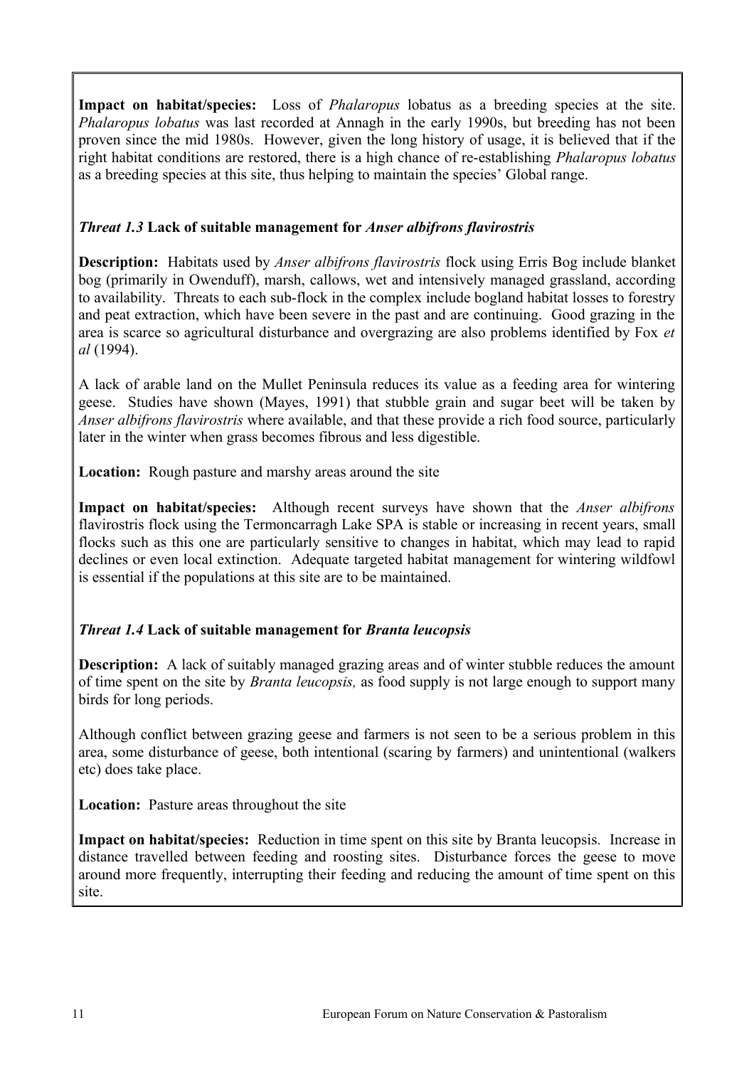**Impact on habitat/species:** Loss of *Phalaropus* lobatus as a breeding species at the site. *Phalaropus lobatus* was last recorded at Annagh in the early 1990s, but breeding has not been proven since the mid 1980s. However, given the long history of usage, it is believed that if the right habitat conditions are restored, there is a high chance of re-establishing *Phalaropus lobatus* as a breeding species at this site, thus helping to maintain the species' Global range.

## *Threat 1.3* **Lack of suitable management for** *Anser albifrons flavirostris*

**Description:** Habitats used by *Anser albifrons flavirostris* flock using Erris Bog include blanket bog (primarily in Owenduff), marsh, callows, wet and intensively managed grassland, according to availability. Threats to each sub-flock in the complex include bogland habitat losses to forestry and peat extraction, which have been severe in the past and are continuing. Good grazing in the area is scarce so agricultural disturbance and overgrazing are also problems identified by Fox *et al* (1994).

A lack of arable land on the Mullet Peninsula reduces its value as a feeding area for wintering geese. Studies have shown (Mayes, 1991) that stubble grain and sugar beet will be taken by *Anser albifrons flavirostris* where available, and that these provide a rich food source, particularly later in the winter when grass becomes fibrous and less digestible.

**Location:** Rough pasture and marshy areas around the site

**Impact on habitat/species:** Although recent surveys have shown that the *Anser albifrons* flavirostris flock using the Termoncarragh Lake SPA is stable or increasing in recent years, small flocks such as this one are particularly sensitive to changes in habitat, which may lead to rapid declines or even local extinction. Adequate targeted habitat management for wintering wildfowl is essential if the populations at this site are to be maintained.

## *Threat 1.4* **Lack of suitable management for** *Branta leucopsis*

**Description:** A lack of suitably managed grazing areas and of winter stubble reduces the amount of time spent on the site by *Branta leucopsis,* as food supply is not large enough to support many birds for long periods.

Although conflict between grazing geese and farmers is not seen to be a serious problem in this area, some disturbance of geese, both intentional (scaring by farmers) and unintentional (walkers etc) does take place.

**Location:** Pasture areas throughout the site

**Impact on habitat/species:** Reduction in time spent on this site by Branta leucopsis*.* Increase in distance travelled between feeding and roosting sites. Disturbance forces the geese to move around more frequently, interrupting their feeding and reducing the amount of time spent on this site.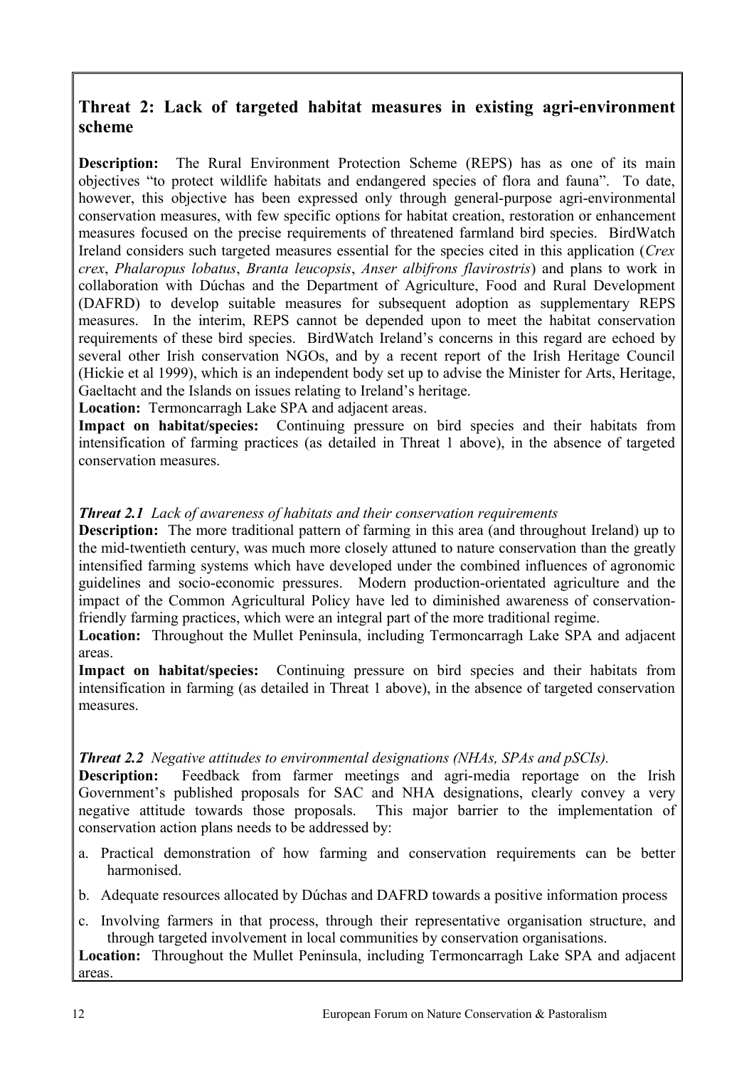## **Threat 2: Lack of targeted habitat measures in existing agri-environment scheme**

**Description:** The Rural Environment Protection Scheme (REPS) has as one of its main objectives "to protect wildlife habitats and endangered species of flora and fauna". To date, however, this objective has been expressed only through general-purpose agri-environmental conservation measures, with few specific options for habitat creation, restoration or enhancement measures focused on the precise requirements of threatened farmland bird species. BirdWatch Ireland considers such targeted measures essential for the species cited in this application (*Crex crex*, *Phalaropus lobatus*, *Branta leucopsis*, *Anser albifrons flavirostris*) and plans to work in collaboration with Dúchas and the Department of Agriculture, Food and Rural Development (DAFRD) to develop suitable measures for subsequent adoption as supplementary REPS measures. In the interim, REPS cannot be depended upon to meet the habitat conservation requirements of these bird species. BirdWatch Ireland's concerns in this regard are echoed by several other Irish conservation NGOs, and by a recent report of the Irish Heritage Council (Hickie et al 1999), which is an independent body set up to advise the Minister for Arts, Heritage, Gaeltacht and the Islands on issues relating to Ireland's heritage.

**Location:** Termoncarragh Lake SPA and adjacent areas.

**Impact on habitat/species:** Continuing pressure on bird species and their habitats from intensification of farming practices (as detailed in Threat 1 above), in the absence of targeted conservation measures.

## *Threat 2.1 Lack of awareness of habitats and their conservation requirements*

**Description:** The more traditional pattern of farming in this area (and throughout Ireland) up to the mid-twentieth century, was much more closely attuned to nature conservation than the greatly intensified farming systems which have developed under the combined influences of agronomic guidelines and socio-economic pressures. Modern production-orientated agriculture and the impact of the Common Agricultural Policy have led to diminished awareness of conservationfriendly farming practices, which were an integral part of the more traditional regime.

**Location:** Throughout the Mullet Peninsula, including Termoncarragh Lake SPA and adjacent areas.

**Impact on habitat/species:** Continuing pressure on bird species and their habitats from intensification in farming (as detailed in Threat 1 above), in the absence of targeted conservation measures.

## *Threat 2.2 Negative attitudes to environmental designations (NHAs, SPAs and pSCIs).*

**Description:** Feedback from farmer meetings and agri-media reportage on the Irish Government's published proposals for SAC and NHA designations, clearly convey a very negative attitude towards those proposals. This major barrier to the implementation of conservation action plans needs to be addressed by:

- a. Practical demonstration of how farming and conservation requirements can be better harmonised.
- b. Adequate resources allocated by Dúchas and DAFRD towards a positive information process
- c. Involving farmers in that process, through their representative organisation structure, and through targeted involvement in local communities by conservation organisations.

**Location:** Throughout the Mullet Peninsula, including Termoncarragh Lake SPA and adjacent areas.